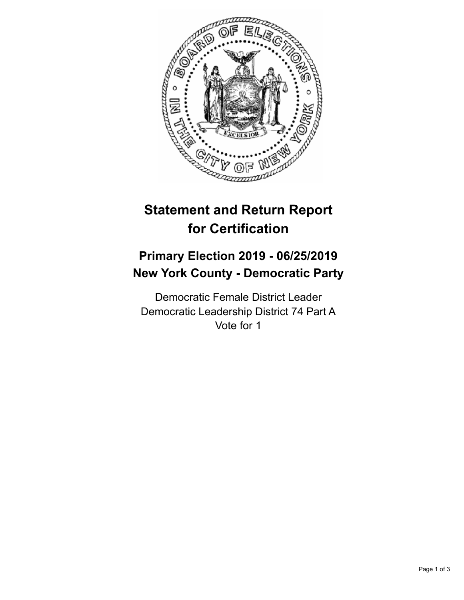

## **Statement and Return Report for Certification**

## **Primary Election 2019 - 06/25/2019 New York County - Democratic Party**

Democratic Female District Leader Democratic Leadership District 74 Part A Vote for 1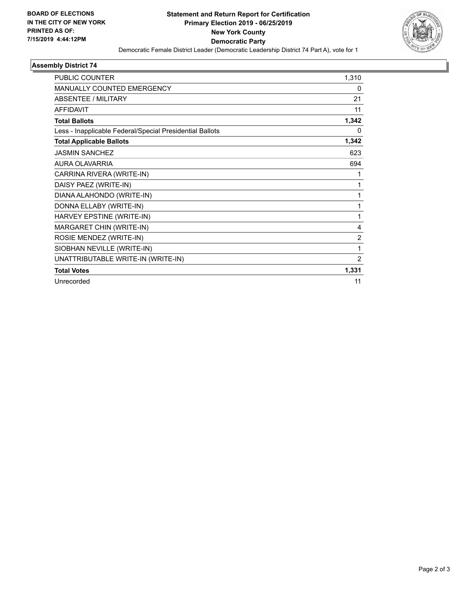

## **Assembly District 74**

| PUBLIC COUNTER                                           | 1,310          |
|----------------------------------------------------------|----------------|
| <b>MANUALLY COUNTED EMERGENCY</b>                        | 0              |
| <b>ABSENTEE / MILITARY</b>                               | 21             |
| <b>AFFIDAVIT</b>                                         | 11             |
| <b>Total Ballots</b>                                     | 1,342          |
| Less - Inapplicable Federal/Special Presidential Ballots | 0              |
| <b>Total Applicable Ballots</b>                          | 1,342          |
| <b>JASMIN SANCHEZ</b>                                    | 623            |
| <b>AURA OLAVARRIA</b>                                    | 694            |
| CARRINA RIVERA (WRITE-IN)                                | 1              |
| DAISY PAEZ (WRITE-IN)                                    | 1              |
| DIANA ALAHONDO (WRITE-IN)                                | 1              |
| DONNA ELLABY (WRITE-IN)                                  | 1              |
| HARVEY EPSTINE (WRITE-IN)                                | 1              |
| MARGARET CHIN (WRITE-IN)                                 | 4              |
| ROSIE MENDEZ (WRITE-IN)                                  | 2              |
| SIOBHAN NEVILLE (WRITE-IN)                               | 1              |
| UNATTRIBUTABLE WRITE-IN (WRITE-IN)                       | $\overline{2}$ |
| <b>Total Votes</b>                                       | 1,331          |
| Unrecorded                                               | 11             |